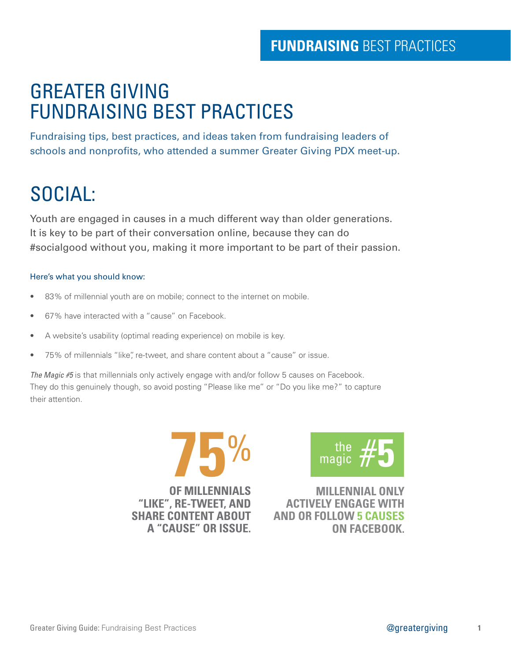## GREATER GIVING FUNDRAISING BEST PRACTICES

Fundraising tips, best practices, and ideas taken from fundraising leaders of schools and nonprofits, who attended a summer Greater Giving PDX meet-up.

# SOCIAL:

Youth are engaged in causes in a much different way than older generations. It is key to be part of their conversation online, because they can do #socialgood without you, making it more important to be part of their passion.

#### Here's what you should know:

- 83% of millennial youth are on mobile; connect to the internet on mobile.
- 67% have interacted with a "cause" on Facebook.
- A website's usability (optimal reading experience) on mobile is key.
- 75% of millennials "like", re-tweet, and share content about a "cause" or issue.

The Magic #5 is that millennials only actively engage with and/or follow 5 causes on Facebook. They do this genuinely though, so avoid posting "Please like me" or "Do you like me?" to capture their attention.



**OF MILLENNIALS "LIKE", RE-TWEET, AND SHARE CONTENT ABOUT A "CAUSE" OR ISSUE.**



**MILLENNIAL ONLY ACTIVELY ENGAGE WITH AND OR FOLLOW 5 CAUSES ON FACEBOOK.**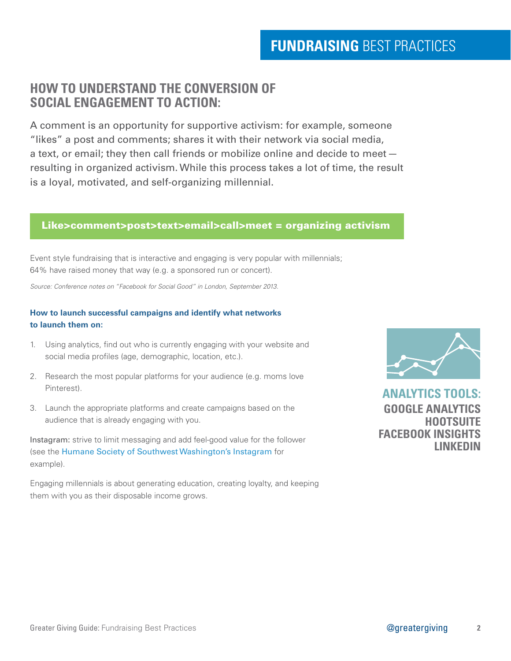### **HOW TO UNDERSTAND THE CONVERSION OF SOCIAL ENGAGEMENT TO ACTION:**

A comment is an opportunity for supportive activism: for example, someone "likes" a post and comments; shares it with their network via social media, a text, or email; they then call friends or mobilize online and decide to meet resulting in organized activism. While this process takes a lot of time, the result is a loyal, motivated, and self-organizing millennial.

### Like>comment>post>text>email>call>meet = organizing activism

Event style fundraising that is interactive and engaging is very popular with millennials; 64% have raised money that way (e.g. a sponsored run or concert).

*Source: Conference notes on "Facebook for Social Good" in London, September 2013.*

### **How to launch successful campaigns and identify what networks to launch them on:**

- 1. Using analytics, find out who is currently engaging with your website and social media profiles (age, demographic, location, etc.).
- 2. Research the most popular platforms for your audience (e.g. moms love Pinterest).
- 3. Launch the appropriate platforms and create campaigns based on the audience that is already engaging with you.

Instagram: strive to limit messaging and add feel-good value for the follower (see the [Humane Society of Southwest Washington's Instagram](http://instagram.com/humanesociety_swwa) for example).

Engaging millennials is about generating education, creating loyalty, and keeping them with you as their disposable income grows.



**ANALYTICS TOOLS: GOOGLE ANALYTICS HOOTSUITE FACEBOOK INSIGHTS LINKEDIN**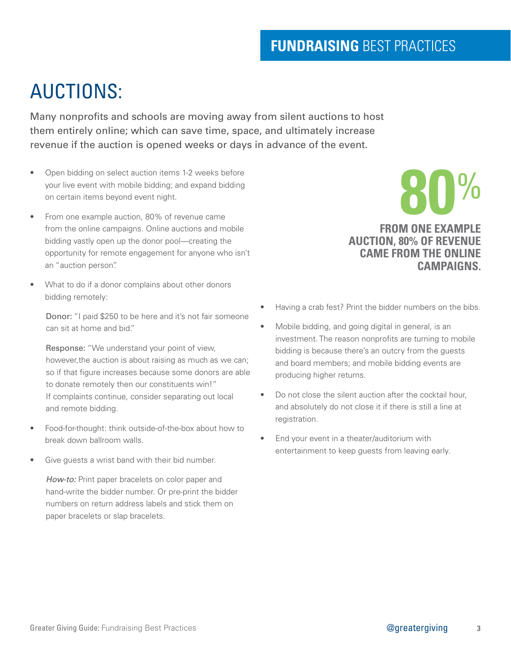# AUCTIONS:

Many nonprofits and schools are moving away from silent auctions to host them entirely online; which can save time, space, and ultimately increase revenue if the auction is opened weeks or days in advance of the event.

- Open bidding on select auction items 1-2 weeks before your live event with mobile bidding; and expand bidding on certain items beyond event night.
- From one example auction, 80% of revenue came from the online campaigns. Online auctions and mobile bidding vastly open up the donor pool—creating the opportunity for remote engagement for anyone who isn't an "auction person".
- What to do if a donor complains about other donors bidding remotely:

Donor: "I paid \$250 to be here and it's not fair someone can sit at home and bid."

Response: "We understand your point of view, however,the auction is about raising as much as we can; so if that figure increases because some donors are able to donate remotely then our constituents win!" If complaints continue, consider separating out local and remote bidding.

- Food-for-thought: think outside-of-the-box about how to break down ballroom walls.
- Give quests a wrist band with their bid number.

How-to: Print paper bracelets on color paper and hand-write the bidder number. Or pre-print the bidder numbers on return address labels and stick them on paper bracelets or slap bracelets.

### **FROM ONE EXAMPLE AUCTION, 80% OF REVENUE CAME FROM THE ONLINE CAMPAIGNS.**

**80**%

- Having a crab fest? Print the bidder numbers on the bibs.
- Mobile bidding, and going digital in general, is an investment. The reason nonprofits are turning to mobile bidding is because there's an outcry from the guests and board members; and mobile bidding events are producing higher returns.
- Do not close the silent auction after the cocktail hour, and absolutely do not close it if there is still a line at registration.
- End your event in a theater/auditorium with entertainment to keep guests from leaving early.